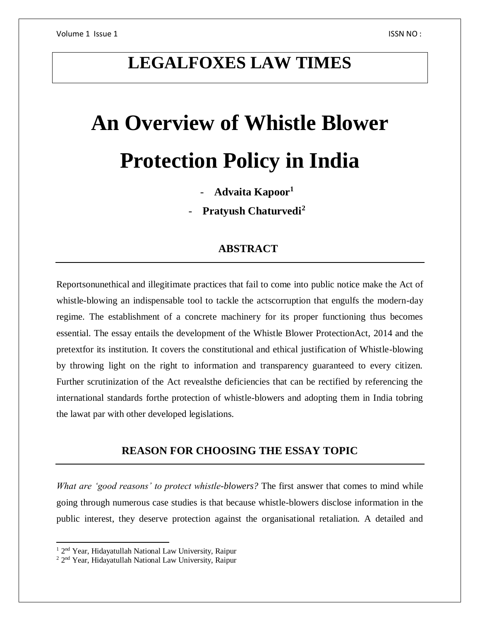# **LEGALFOXES LAW TIMES**

# **An Overview of Whistle Blower Protection Policy in India**

- **Advaita Kapoor<sup>1</sup>**

- **Pratyush Chaturvedi<sup>2</sup>**

# **ABSTRACT**

Reportsonunethical and illegitimate practices that fail to come into public notice make the Act of whistle-blowing an indispensable tool to tackle the actscorruption that engulfs the modern-day regime. The establishment of a concrete machinery for its proper functioning thus becomes essential. The essay entails the development of the Whistle Blower ProtectionAct, 2014 and the pretextfor its institution. It covers the constitutional and ethical justification of Whistle-blowing by throwing light on the right to information and transparency guaranteed to every citizen. Further scrutinization of the Act revealsthe deficiencies that can be rectified by referencing the international standards forthe protection of whistle-blowers and adopting them in India tobring the lawat par with other developed legislations.

# **REASON FOR CHOOSING THE ESSAY TOPIC**

*What are 'good reasons' to protect whistle-blowers?* The first answer that comes to mind while going through numerous case studies is that because whistle-blowers disclose information in the public interest, they deserve protection against the organisational retaliation. A detailed and

 $\overline{\phantom{a}}$ 

<sup>&</sup>lt;sup>1</sup> 2<sup>nd</sup> Year, Hidayatullah National Law University, Raipur

<sup>&</sup>lt;sup>2</sup> 2<sup>nd</sup> Year, Hidayatullah National Law University, Raipur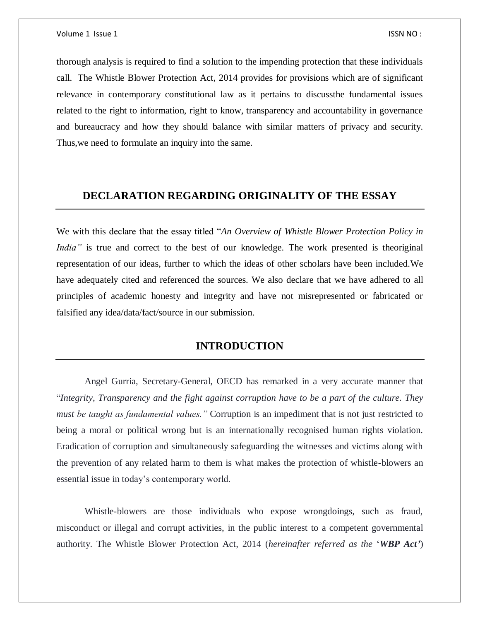thorough analysis is required to find a solution to the impending protection that these individuals call. The Whistle Blower Protection Act, 2014 provides for provisions which are of significant relevance in contemporary constitutional law as it pertains to discussthe fundamental issues related to the right to information, right to know, transparency and accountability in governance and bureaucracy and how they should balance with similar matters of privacy and security. Thus,we need to formulate an inquiry into the same.

# **DECLARATION REGARDING ORIGINALITY OF THE ESSAY**

We with this declare that the essay titled "*An Overview of Whistle Blower Protection Policy in India*" is true and correct to the best of our knowledge. The work presented is theoriginal representation of our ideas, further to which the ideas of other scholars have been included.We have adequately cited and referenced the sources. We also declare that we have adhered to all principles of academic honesty and integrity and have not misrepresented or fabricated or falsified any idea/data/fact/source in our submission.

# **INTRODUCTION**

Angel Gurria, Secretary-General, OECD has remarked in a very accurate manner that "*Integrity, Transparency and the fight against corruption have to be a part of the culture. They must be taught as fundamental values."* Corruption is an impediment that is not just restricted to being a moral or political wrong but is an internationally recognised human rights violation. Eradication of corruption and simultaneously safeguarding the witnesses and victims along with the prevention of any related harm to them is what makes the protection of whistle-blowers an essential issue in today's contemporary world.

Whistle-blowers are those individuals who expose wrongdoings, such as fraud, misconduct or illegal and corrupt activities, in the public interest to a competent governmental authority. The Whistle Blower Protection Act, 2014 (*hereinafter referred as the* '*WBP Act'*)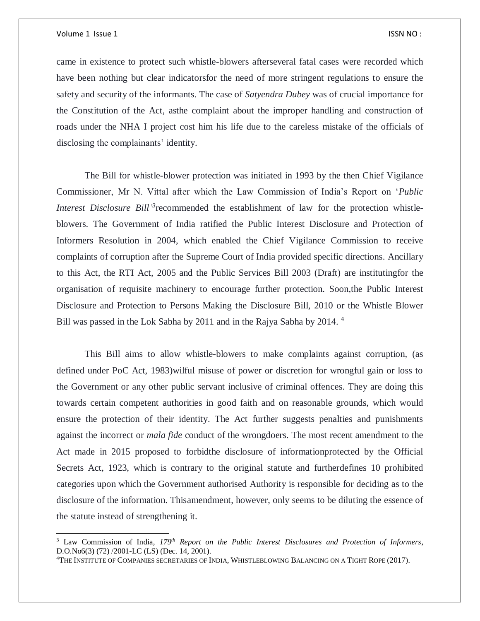$\overline{a}$ 

came in existence to protect such whistle-blowers afterseveral fatal cases were recorded which have been nothing but clear indicatorsfor the need of more stringent regulations to ensure the safety and security of the informants. The case of *Satyendra Dubey* was of crucial importance for the Constitution of the Act, asthe complaint about the improper handling and construction of roads under the NHA I project cost him his life due to the careless mistake of the officials of disclosing the complainants' identity.

The Bill for whistle-blower protection was initiated in 1993 by the then Chief Vigilance Commissioner, Mr N. Vittal after which the Law Commission of India's Report on '*Public Interest Disclosure Bill*<sup>3</sup> recommended the establishment of law for the protection whistleblowers. The Government of India ratified the Public Interest Disclosure and Protection of Informers Resolution in 2004, which enabled the Chief Vigilance Commission to receive complaints of corruption after the Supreme Court of India provided specific directions. Ancillary to this Act, the RTI Act, 2005 and the Public Services Bill 2003 (Draft) are institutingfor the organisation of requisite machinery to encourage further protection. Soon,the Public Interest Disclosure and Protection to Persons Making the Disclosure Bill, 2010 or the Whistle Blower Bill was passed in the Lok Sabha by 2011 and in the Rajya Sabha by 2014. <sup>4</sup>

This Bill aims to allow whistle-blowers to make complaints against corruption, (as defined under PoC Act, 1983)wilful misuse of power or discretion for wrongful gain or loss to the Government or any other public servant inclusive of criminal offences. They are doing this towards certain competent authorities in good faith and on reasonable grounds, which would ensure the protection of their identity. The Act further suggests penalties and punishments against the incorrect or *mala fide* conduct of the wrongdoers. The most recent amendment to the Act made in 2015 proposed to forbidthe disclosure of informationprotected by the Official Secrets Act, 1923, which is contrary to the original statute and furtherdefines 10 prohibited categories upon which the Government authorised Authority is responsible for deciding as to the disclosure of the information. Thisamendment, however, only seems to be diluting the essence of the statute instead of strengthening it.

<sup>3</sup> Law Commission of India, *179th Report on the Public Interest Disclosures and Protection of Informers*, D.O.No6(3) (72) /2001-LC (LS) (Dec. 14, 2001).

<sup>4</sup>THE INSTITUTE OF COMPANIES SECRETARIES OF INDIA, WHISTLEBLOWING BALANCING ON A TIGHT ROPE (2017).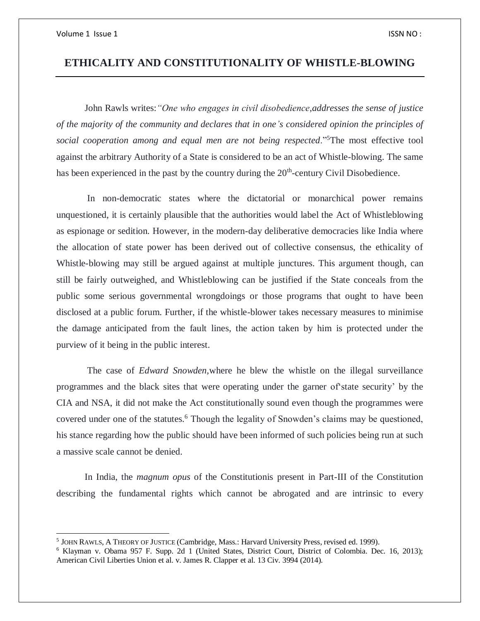$\overline{a}$ 

# **ETHICALITY AND CONSTITUTIONALITY OF WHISTLE-BLOWING**

John Rawls writes:*"One who engages in civil disobedience,addresses the sense of justice of the majority of the community and declares that in one's considered opinion the principles of social cooperation among and equal men are not being respected*."<sup>5</sup>The most effective tool against the arbitrary Authority of a State is considered to be an act of Whistle-blowing. The same has been experienced in the past by the country during the  $20<sup>th</sup>$ -century Civil Disobedience.

In non-democratic states where the dictatorial or monarchical power remains unquestioned, it is certainly plausible that the authorities would label the Act of Whistleblowing as espionage or sedition. However, in the modern-day deliberative democracies like India where the allocation of state power has been derived out of collective consensus, the ethicality of Whistle-blowing may still be argued against at multiple junctures. This argument though, can still be fairly outweighed, and Whistleblowing can be justified if the State conceals from the public some serious governmental wrongdoings or those programs that ought to have been disclosed at a public forum. Further, if the whistle-blower takes necessary measures to minimise the damage anticipated from the fault lines, the action taken by him is protected under the purview of it being in the public interest.

The case of *Edward Snowden,*where he blew the whistle on the illegal surveillance programmes and the black sites that were operating under the garner of'state security' by the CIA and NSA, it did not make the Act constitutionally sound even though the programmes were covered under one of the statutes.<sup>6</sup> Though the legality of Snowden's claims may be questioned, his stance regarding how the public should have been informed of such policies being run at such a massive scale cannot be denied.

In India, the *magnum opus* of the Constitutionis present in Part-III of the Constitution describing the fundamental rights which cannot be abrogated and are intrinsic to every

<sup>5</sup> JOHN RAWLS, A THEORY OF JUSTICE (Cambridge, Mass.: Harvard University Press, revised ed. 1999).

<sup>6</sup> Klayman v. Obama 957 F. Supp. 2d 1 (United States, District Court, District of Colombia. Dec. 16, 2013); American Civil Liberties Union et al. v. James R. Clapper et al. 13 Civ. 3994 (2014).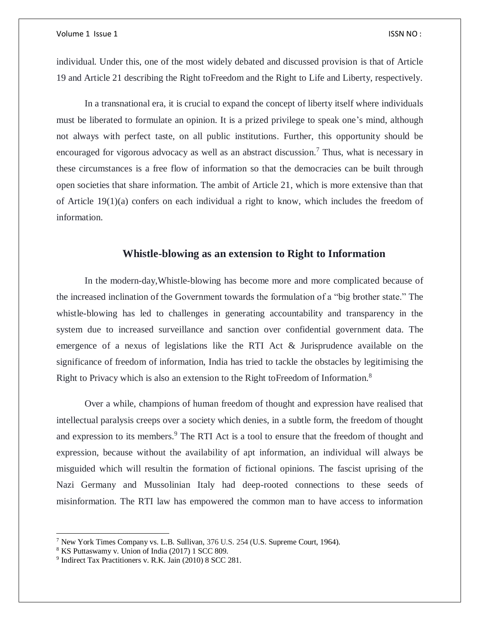individual. Under this, one of the most widely debated and discussed provision is that of Article 19 and Article 21 describing the Right toFreedom and the Right to Life and Liberty, respectively.

In a transnational era, it is crucial to expand the concept of liberty itself where individuals must be liberated to formulate an opinion. It is a prized privilege to speak one's mind, although not always with perfect taste, on all public institutions. Further, this opportunity should be encouraged for vigorous advocacy as well as an abstract discussion.<sup>7</sup> Thus, what is necessary in these circumstances is a free flow of information so that the democracies can be built through open societies that share information. The ambit of Article 21, which is more extensive than that of Article 19(1)(a) confers on each individual a right to know, which includes the freedom of information.

### **Whistle-blowing as an extension to Right to Information**

In the modern-day,Whistle-blowing has become more and more complicated because of the increased inclination of the Government towards the formulation of a "big brother state." The whistle-blowing has led to challenges in generating accountability and transparency in the system due to increased surveillance and sanction over confidential government data. The emergence of a nexus of legislations like the RTI Act & Jurisprudence available on the significance of freedom of information, India has tried to tackle the obstacles by legitimising the Right to Privacy which is also an extension to the Right toFreedom of Information.<sup>8</sup>

Over a while, champions of human freedom of thought and expression have realised that intellectual paralysis creeps over a society which denies, in a subtle form, the freedom of thought and expression to its members.<sup>9</sup> The RTI Act is a tool to ensure that the freedom of thought and expression, because without the availability of apt information, an individual will always be misguided which will resultin the formation of fictional opinions. The fascist uprising of the Nazi Germany and Mussolinian Italy had deep-rooted connections to these seeds of misinformation. The RTI law has empowered the common man to have access to information

 $\overline{a}$ 

<sup>&</sup>lt;sup>7</sup> New York Times Company vs. L.B. Sullivan,  $376$  U.S.  $254$  (U.S. Supreme Court, 1964).

<sup>8</sup> KS Puttaswamy v. Union of India (2017) 1 SCC 809.

<sup>9</sup> Indirect Tax Practitioners v. R.K. Jain (2010) 8 SCC 281.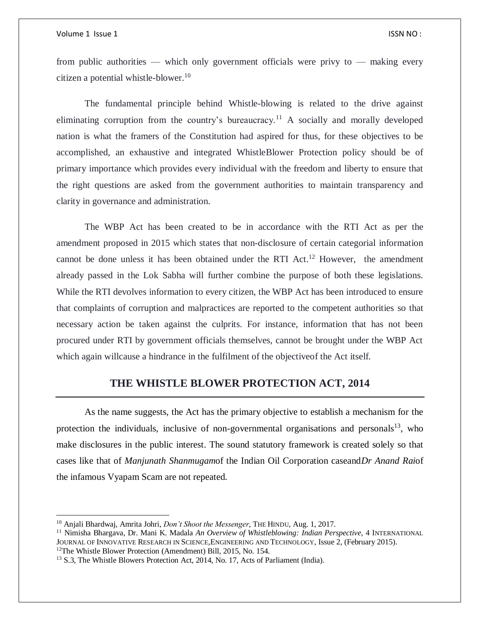$\overline{\phantom{a}}$ 

from public authorities — which only government officials were privy to — making every citizen a potential whistle-blower.<sup>10</sup>

The fundamental principle behind Whistle-blowing is related to the drive against eliminating corruption from the country's bureaucracy.<sup>11</sup> A socially and morally developed nation is what the framers of the Constitution had aspired for thus, for these objectives to be accomplished, an exhaustive and integrated WhistleBlower Protection policy should be of primary importance which provides every individual with the freedom and liberty to ensure that the right questions are asked from the government authorities to maintain transparency and clarity in governance and administration.

The WBP Act has been created to be in accordance with the RTI Act as per the amendment proposed in 2015 which states that non-disclosure of certain categorial information cannot be done unless it has been obtained under the RTI Act.<sup>12</sup> However, the amendment already passed in the Lok Sabha will further combine the purpose of both these legislations. While the RTI devolves information to every citizen, the WBP Act has been introduced to ensure that complaints of corruption and malpractices are reported to the competent authorities so that necessary action be taken against the culprits. For instance, information that has not been procured under RTI by government officials themselves, cannot be brought under the WBP Act which again willcause a hindrance in the fulfilment of the objectiveof the Act itself.

# **THE WHISTLE BLOWER PROTECTION ACT, 2014**

As the name suggests, the Act has the primary objective to establish a mechanism for the protection the individuals, inclusive of non-governmental organisations and personals<sup>13</sup>, who make disclosures in the public interest. The sound statutory framework is created solely so that cases like that of *Manjunath Shanmugam*of the Indian Oil Corporation caseand*Dr Anand Rai*of the infamous Vyapam Scam are not repeated.

<sup>10</sup> Anjali Bhardwaj, Amrita Johri, *Don't Shoot the Messenger*, THE HINDU, Aug. 1, 2017.

<sup>&</sup>lt;sup>11</sup> Nimisha Bhargava, Dr. Mani K. Madala *An Overview of Whistleblowing: Indian Perspective*, 4 INTERNATIONAL JOURNAL OF INNOVATIVE RESEARCH IN SCIENCE,ENGINEERING AND TECHNOLOGY, Issue 2, (February 2015). <sup>12</sup>The Whistle Blower Protection (Amendment) Bill, 2015, No. 154.

<sup>13</sup> S.3, The Whistle Blowers Protection Act, 2014, No. 17, Acts of Parliament (India).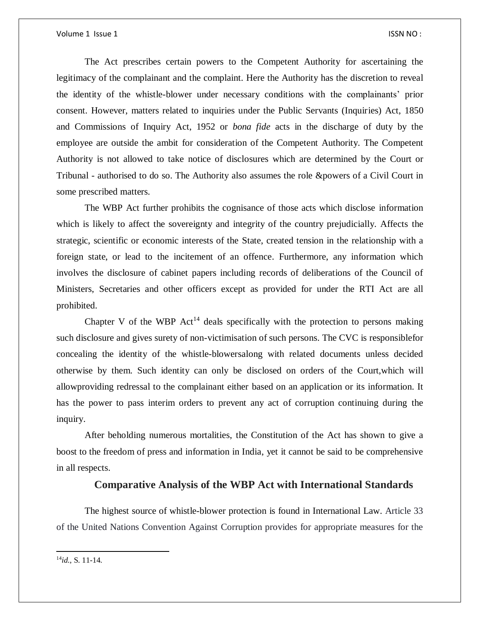The Act prescribes certain powers to the Competent Authority for ascertaining the legitimacy of the complainant and the complaint. Here the Authority has the discretion to reveal the identity of the whistle-blower under necessary conditions with the complainants' prior consent. However, matters related to inquiries under the Public Servants (Inquiries) Act, 1850 and Commissions of Inquiry Act, 1952 or *bona fide* acts in the discharge of duty by the employee are outside the ambit for consideration of the Competent Authority. The Competent Authority is not allowed to take notice of disclosures which are determined by the Court or Tribunal - authorised to do so. The Authority also assumes the role &powers of a Civil Court in some prescribed matters.

The WBP Act further prohibits the cognisance of those acts which disclose information which is likely to affect the sovereignty and integrity of the country prejudicially. Affects the strategic, scientific or economic interests of the State, created tension in the relationship with a foreign state, or lead to the incitement of an offence. Furthermore, any information which involves the disclosure of cabinet papers including records of deliberations of the Council of Ministers, Secretaries and other officers except as provided for under the RTI Act are all prohibited.

Chapter V of the WBP Act<sup>14</sup> deals specifically with the protection to persons making such disclosure and gives surety of non-victimisation of such persons. The CVC is responsiblefor concealing the identity of the whistle-blowersalong with related documents unless decided otherwise by them. Such identity can only be disclosed on orders of the Court,which will allowproviding redressal to the complainant either based on an application or its information. It has the power to pass interim orders to prevent any act of corruption continuing during the inquiry.

After beholding numerous mortalities, the Constitution of the Act has shown to give a boost to the freedom of press and information in India, yet it cannot be said to be comprehensive in all respects.

## **Comparative Analysis of the WBP Act with International Standards**

The highest source of whistle-blower protection is found in International Law. Article 33 of the United Nations Convention Against Corruption provides for appropriate measures for the

 $\overline{a}$ 

<sup>14</sup>*id.,* S. 11-14.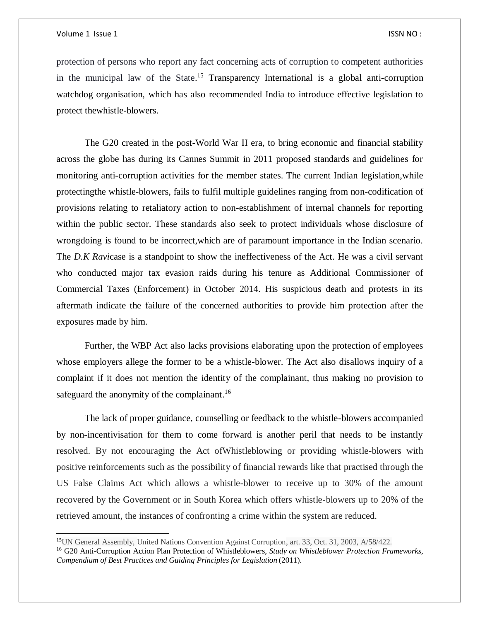$\overline{a}$ 

protection of persons who report any fact concerning acts of corruption to competent authorities in the municipal law of the State.<sup>15</sup> Transparency International is a global anti-corruption watchdog organisation, which has also recommended India to introduce effective legislation to protect thewhistle-blowers.

The G20 created in the post-World War II era, to bring economic and financial stability across the globe has during its Cannes Summit in 2011 proposed standards and guidelines for monitoring anti-corruption activities for the member states. The current Indian legislation,while protectingthe whistle-blowers, fails to fulfil multiple guidelines ranging from non-codification of provisions relating to retaliatory action to non-establishment of internal channels for reporting within the public sector. These standards also seek to protect individuals whose disclosure of wrongdoing is found to be incorrect,which are of paramount importance in the Indian scenario. The *D.K Ravi*case is a standpoint to show the ineffectiveness of the Act. He was a civil servant who conducted major tax evasion raids during his tenure as Additional Commissioner of Commercial Taxes (Enforcement) in October 2014. His suspicious death and protests in its aftermath indicate the failure of the concerned authorities to provide him protection after the exposures made by him.

Further, the WBP Act also lacks provisions elaborating upon the protection of employees whose employers allege the former to be a whistle-blower. The Act also disallows inquiry of a complaint if it does not mention the identity of the complainant, thus making no provision to safeguard the anonymity of the complainant.<sup>16</sup>

The lack of proper guidance, counselling or feedback to the whistle-blowers accompanied by non-incentivisation for them to come forward is another peril that needs to be instantly resolved. By not encouraging the Act ofWhistleblowing or providing whistle-blowers with positive reinforcements such as the possibility of financial rewards like that practised through the US False Claims Act which allows a whistle-blower to receive up to 30% of the amount recovered by the Government or in South Korea which offers whistle-blowers up to 20% of the retrieved amount, the instances of confronting a crime within the system are reduced.

<sup>15</sup>UN General Assembly, United Nations Convention Against Corruption, art. 33, Oct. 31, 2003, A/58/422. <sup>16</sup> G20 Anti-Corruption Action Plan Protection of Whistleblowers, *Study on Whistleblower Protection Frameworks, Compendium of Best Practices and Guiding Principles for Legislation* (2011).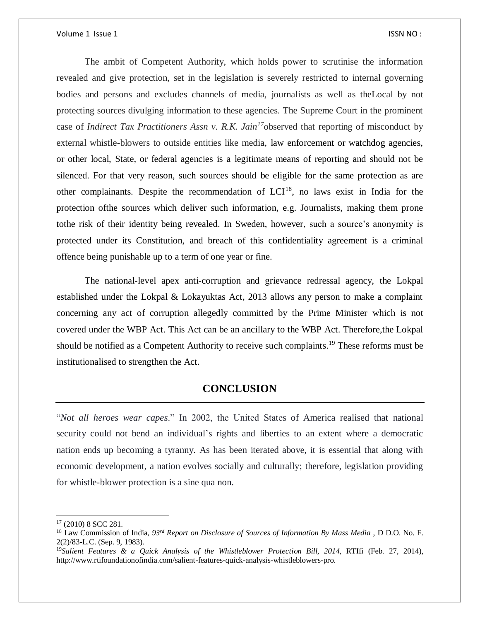The ambit of Competent Authority, which holds power to scrutinise the information revealed and give protection, set in the legislation is severely restricted to internal governing bodies and persons and excludes channels of media, journalists as well as theLocal by not protecting sources divulging information to these agencies. The Supreme Court in the prominent case of *Indirect Tax Practitioners Assn v. R.K. Jain<sup>17</sup>*observed that reporting of misconduct by external whistle-blowers to outside entities like media, law enforcement or watchdog agencies, or other local, State, or federal agencies is a legitimate means of reporting and should not be silenced. For that very reason, such sources should be eligible for the same protection as are other complainants. Despite the recommendation of  $LCI^{18}$ , no laws exist in India for the protection ofthe sources which deliver such information, e.g. Journalists, making them prone tothe risk of their identity being revealed. In Sweden, however, such a source's anonymity is protected under its Constitution, and breach of this confidentiality agreement is a criminal offence being punishable up to a term of one year or fine.

The national-level apex anti-corruption and grievance redressal agency, the Lokpal established under the Lokpal & Lokayuktas Act, 2013 allows any person to make a complaint concerning any act of corruption allegedly committed by the Prime Minister which is not covered under the WBP Act. This Act can be an ancillary to the WBP Act. Therefore,the Lokpal should be notified as a Competent Authority to receive such complaints.<sup>19</sup> These reforms must be institutionalised to strengthen the Act.

# **CONCLUSION**

"*Not all heroes wear capes*." In 2002, the United States of America realised that national security could not bend an individual's rights and liberties to an extent where a democratic nation ends up becoming a tyranny. As has been iterated above, it is essential that along with economic development, a nation evolves socially and culturally; therefore, legislation providing for whistle-blower protection is a sine qua non.

 $\overline{\phantom{a}}$ 

<sup>17</sup> (2010) 8 SCC 281.

<sup>18</sup> Law Commission of India, *93rd Report on Disclosure of Sources of Information By Mass Media* , D D.O. No. F. 2(2)/83-L.C. (Sep. 9, 1983).

<sup>&</sup>lt;sup>19</sup>Salient Features & a Quick Analysis of the Whistleblower Protection Bill, 2014, RTIfi (Feb. 27, 2014), http://www.rtifoundationofindia.com/salient-features-quick-analysis-whistleblowers-pro.